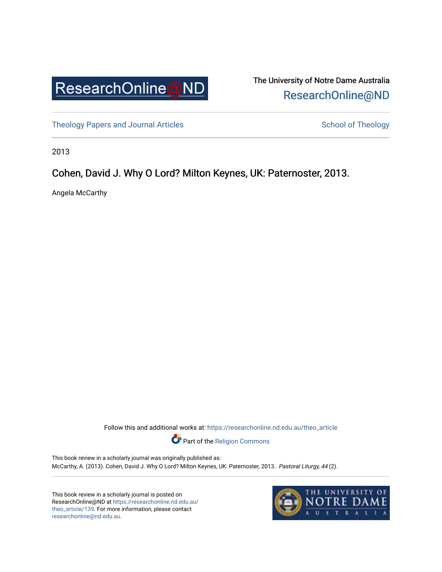

The University of Notre Dame Australia [ResearchOnline@ND](https://researchonline.nd.edu.au/) 

[Theology Papers and Journal Articles](https://researchonline.nd.edu.au/theo_article) and [School of Theology](https://researchonline.nd.edu.au/theo) School of Theology

2013

## Cohen, David J. Why O Lord? Milton Keynes, UK: Paternoster, 2013.

Angela McCarthy

Follow this and additional works at: [https://researchonline.nd.edu.au/theo\\_article](https://researchonline.nd.edu.au/theo_article?utm_source=researchonline.nd.edu.au%2Ftheo_article%2F139&utm_medium=PDF&utm_campaign=PDFCoverPages) 

Part of the [Religion Commons](http://network.bepress.com/hgg/discipline/538?utm_source=researchonline.nd.edu.au%2Ftheo_article%2F139&utm_medium=PDF&utm_campaign=PDFCoverPages) 

This book review in a scholarly journal was originally published as: McCarthy, A. (2013). Cohen, David J. Why O Lord? Milton Keynes, UK: Paternoster, 2013.. Pastoral Liturgy, 44 (2).

This book review in a scholarly journal is posted on ResearchOnline@ND at [https://researchonline.nd.edu.au/](https://researchonline.nd.edu.au/theo_article/139) [theo\\_article/139](https://researchonline.nd.edu.au/theo_article/139). For more information, please contact [researchonline@nd.edu.au.](mailto:researchonline@nd.edu.au)

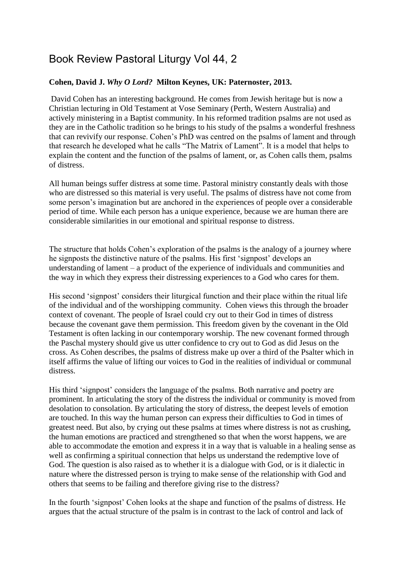## Book Review Pastoral Liturgy Vol 44, 2

## **Cohen, David J.** *Why O Lord?* **Milton Keynes, UK: Paternoster, 2013.**

David Cohen has an interesting background. He comes from Jewish heritage but is now a Christian lecturing in Old Testament at Vose Seminary (Perth, Western Australia) and actively ministering in a Baptist community. In his reformed tradition psalms are not used as they are in the Catholic tradition so he brings to his study of the psalms a wonderful freshness that can revivify our response. Cohen's PhD was centred on the psalms of lament and through that research he developed what he calls "The Matrix of Lament". It is a model that helps to explain the content and the function of the psalms of lament, or, as Cohen calls them, psalms of distress.

All human beings suffer distress at some time. Pastoral ministry constantly deals with those who are distressed so this material is very useful. The psalms of distress have not come from some person's imagination but are anchored in the experiences of people over a considerable period of time. While each person has a unique experience, because we are human there are considerable similarities in our emotional and spiritual response to distress.

The structure that holds Cohen's exploration of the psalms is the analogy of a journey where he signposts the distinctive nature of the psalms. His first 'signpost' develops an understanding of lament – a product of the experience of individuals and communities and the way in which they express their distressing experiences to a God who cares for them.

His second 'signpost' considers their liturgical function and their place within the ritual life of the individual and of the worshipping community. Cohen views this through the broader context of covenant. The people of Israel could cry out to their God in times of distress because the covenant gave them permission. This freedom given by the covenant in the Old Testament is often lacking in our contemporary worship. The new covenant formed through the Paschal mystery should give us utter confidence to cry out to God as did Jesus on the cross. As Cohen describes, the psalms of distress make up over a third of the Psalter which in itself affirms the value of lifting our voices to God in the realities of individual or communal distress.

His third 'signpost' considers the language of the psalms. Both narrative and poetry are prominent. In articulating the story of the distress the individual or community is moved from desolation to consolation. By articulating the story of distress, the deepest levels of emotion are touched. In this way the human person can express their difficulties to God in times of greatest need. But also, by crying out these psalms at times where distress is not as crushing, the human emotions are practiced and strengthened so that when the worst happens, we are able to accommodate the emotion and express it in a way that is valuable in a healing sense as well as confirming a spiritual connection that helps us understand the redemptive love of God. The question is also raised as to whether it is a dialogue with God, or is it dialectic in nature where the distressed person is trying to make sense of the relationship with God and others that seems to be failing and therefore giving rise to the distress?

In the fourth 'signpost' Cohen looks at the shape and function of the psalms of distress. He argues that the actual structure of the psalm is in contrast to the lack of control and lack of